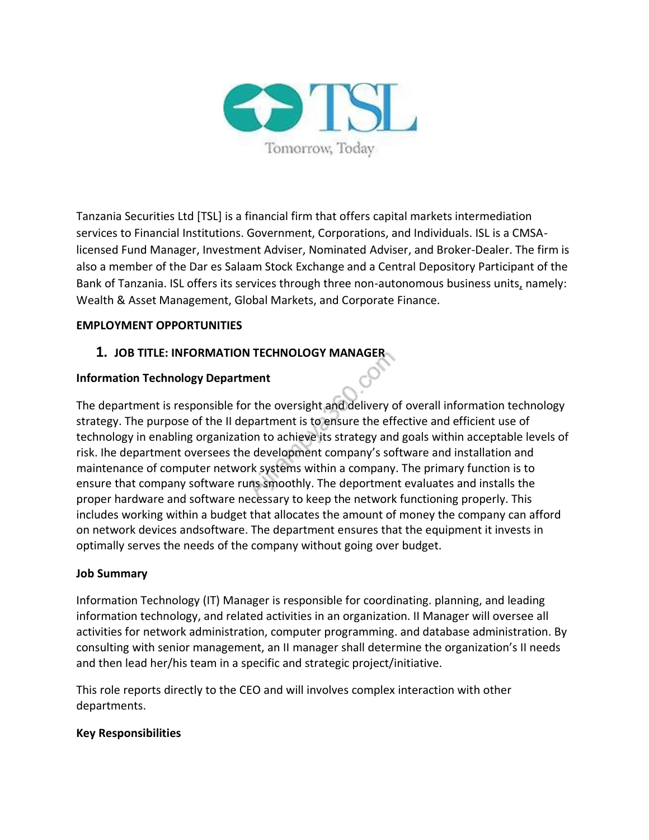

Tanzania Securities Ltd [TSL] is a financial firm that offers capital markets intermediation services to Financial Institutions. Government, Corporations, and Individuals. ISL is a CMSAlicensed Fund Manager, Investment Adviser, Nominated Adviser, and Broker-Dealer. The firm is also a member of the Dar es Salaam Stock Exchange and a Central Depository Participant of the Bank of Tanzania. ISL offers its services through three non-autonomous business unit[s,](https://helpfuljobs.info/) namely: Wealth & Asset Management, Global Markets, and Corporate Finance.

### **EMPLOYMENT OPPORTUNITIES**

## **1. JOB TITLE: INFORMATION TECHNOLOGY MANAGER**

## **Information Technology Department**

The department is responsible for the oversight and delivery of overall information technology strategy. The purpose of the II department is to ensure the effective and efficient use of technology in enabling organization to achieve its strategy and goals within acceptable levels of risk. Ihe department oversees the development company's software and installation and maintenance of computer network systems within a company. The primary function is to ensure that company software runs smoothly. The deportment evaluates and installs the proper hardware and software necessary to keep the network functioning properly. This includes working within a budget that allocates the amount of money the company can afford on network devices andsoftware. The department ensures that the equipment it invests in optimally serves the needs of the company without going over budget.

#### **Job Summary**

Information Technology (IT) Manager is responsible for coordinating. planning, and leading information technology, and related activities in an organization. II Manager will oversee all activities for network administration, computer programming. and database administration. By consulting with senior management, an II manager shall determine the organization's II needs and then lead her/his team in a specific and strategic project/initiative.

This role reports directly to the CEO and will involves complex interaction with other departments.

#### **Key Responsibilities**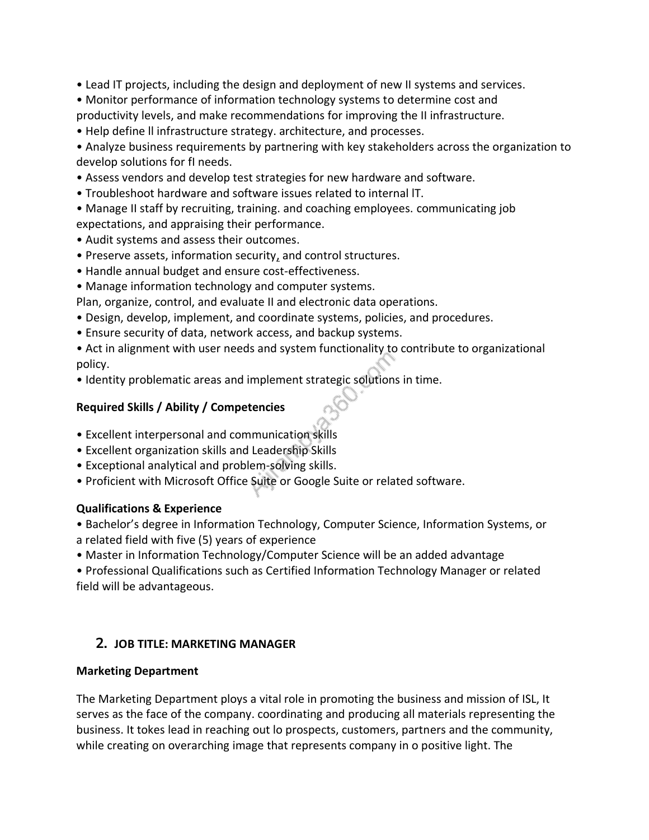- Lead IT projects, including the design and deployment of new II systems and services.
- Monitor performance of information technology systems to determine cost and
- productivity levels, and make recommendations for improving the II infrastructure.
- Help define ll infrastructure strategy. architecture, and processes.
- Analyze business requirements by partnering with key stakeholders across the organization to develop solutions for fI needs.
- Assess vendors and develop test strategies for new hardware and software.
- Troubleshoot hardware and software issues related to internal lT.
- Manage II staff by recruiting, training. and coaching employees. communicating job expectations, and appraising their performance.
- Audit systems and assess their outcomes.
- Preserve assets, information security[,](https://helpfuljobs.info/) and control structures.
- Handle annual budget and ensure cost-effectiveness.
- Manage information technology and computer systems.

Plan, organize, control, and evaluate II and electronic data operations.

- Design, develop, implement, and coordinate systems, policies, and procedures.
- Ensure security of data, network access, and backup systems.
- Act in alignment with user needs and system functionality to contribute to organizational policy.
- Identity problematic areas and implement strategic solutions in time.

# **Required Skills / Ability / Competencies**

- Excellent interpersonal and communication skills
- Excellent organization skills and Leadership Skills
- Exceptional analytical and problem-solving skills.
- Proficient with Microsoft Office Suite or Google Suite or related software.

# **Qualifications & Experience**

- Bachelor's degree in Information Technology, Computer Science, Information Systems, or a related field with five (5) years of experience
- Master in Information Technology/Computer Science will be an added advantage
- Professional Qualifications such as Certified Information Technology Manager or related field will be advantageous.

# **2. JOB TITLE: MARKETING MANAGER**

# **Marketing Department**

The Marketing Department ploys a vital role in promoting the business and mission of ISL, It serves as the face of the company. coordinating and producing all materials representing the business. It tokes lead in reaching out lo prospects, customers, partners and the community, while creating on overarching image that represents company in o positive light. The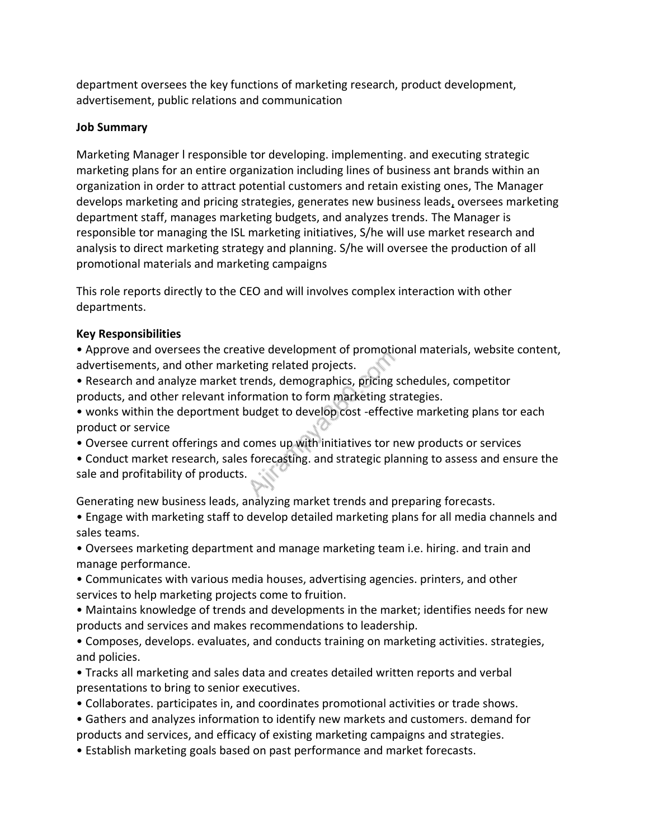department oversees the key functions of marketing research, product development, advertisement, public relations and communication

#### **Job Summary**

Marketing Manager l responsible tor developing. implementing. and executing strategic marketing plans for an entire organization including lines of business ant brands within an organization in order to attract potential customers and retain existing ones, The Manager develops marketing and pricing strategies, generates new business lead[s,](https://helpfuljobs.info/) oversees marketing department staff, manages marketing budgets, and analyzes trends. The Manager is responsible tor managing the ISL marketing initiatives, S/he will use market research and analysis to direct marketing strategy and planning. S/he will oversee the production of all promotional materials and marketing campaigns

This role reports directly to the CEO and will involves complex interaction with other departments.

## **Key Responsibilities**

• Approve and oversees the creative development of promotional materials, website content, advertisements, and other marketing related projects.

• Research and analyze market trends, demographics, pricing schedules, competitor products, and other relevant information to form marketing strategies.

• wonks within the deportment budget to develop cost -effective marketing plans tor each product or service

• Oversee current offerings and comes up with initiatives tor new products or services

• Conduct market research, sales forecasting. and strategic planning to assess and ensure the sale and profitability of products.

Generating new business leads, analyzing market trends and preparing forecasts.

• Engage with marketing staff to develop detailed marketing plans for all media channels and sales teams.

• Oversees marketing department and manage marketing team i.e. hiring. and train and manage performance.

• Communicates with various media houses, advertising agencies. printers, and other services to help marketing projects come to fruition.

• Maintains knowledge of trends and developments in the market; identifies needs for new products and services and makes recommendations to leadership.

• Composes, develops. evaluates, and conducts training on marketing activities. strategies, and policies.

• Tracks all marketing and sales data and creates detailed written reports and verbal presentations to bring to senior executives.

• Collaborates. participates in, and coordinates promotional activities or trade shows.

• Gathers and analyzes information to identify new markets and customers. demand for

products and services, and efficacy of existing marketing campaigns and strategies.

• Establish marketing goals based on past performance and market forecasts.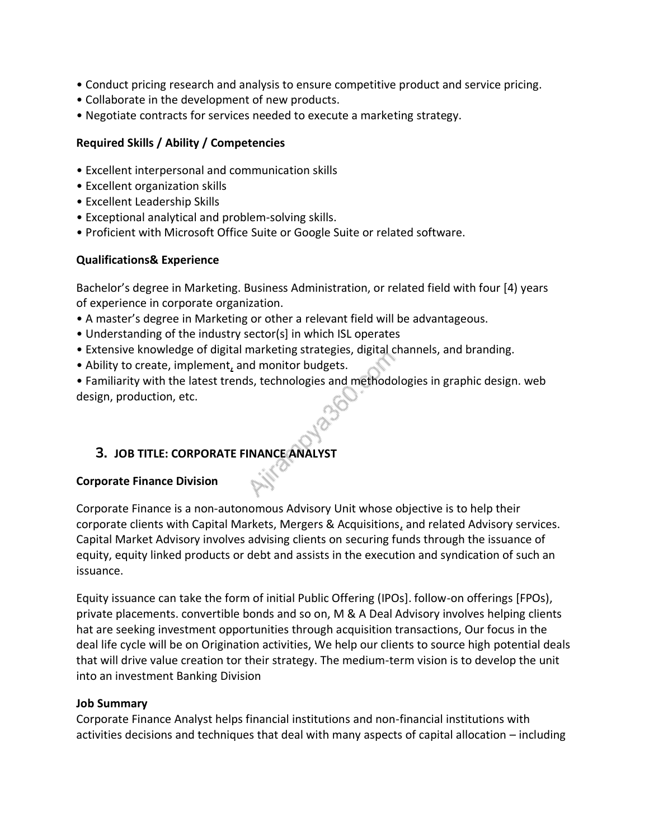- Conduct pricing research and analysis to ensure competitive product and service pricing.
- Collaborate in the development of new products.
- Negotiate contracts for services needed to execute a marketing strategy.

## **Required Skills / Ability / Competencies**

- Excellent interpersonal and communication skills
- Excellent organization skills
- Excellent Leadership Skills
- Exceptional analytical and problem-solving skills.
- Proficient with Microsoft Office Suite or Google Suite or related software.

### **Qualifications& Experience**

Bachelor's degree in Marketing. Business Administration, or related field with four [4) years of experience in corporate organization.

- A master's degree in Marketing or other a relevant field will be advantageous.
- Understanding of the industry sector(s] in which ISL operates
- Extensive knowledge of digital marketing strategies, digital channels, and branding.
- Ability to create, implement[,](https://helpfuljobs.info/) and monitor budgets.

• Familiarity with the latest trends, technologies and methodologies in graphic design. web design, production, etc.

## **3. JOB TITLE: CORPORATE FINANCE ANALYST**

#### **Corporate Finance Division**

Corporate Finance is a non-autonomous Advisory Unit whose objective is to help their corporate clients with Capital Markets, Mergers & Acquisition[s,](https://helpfuljobs.info/) and related Advisory services. Capital Market Advisory involves advising clients on securing funds through the issuance of equity, equity linked products or debt and assists in the execution and syndication of such an issuance.

Equity issuance can take the form of initial Public Offering (IPOs]. follow-on offerings [FPOs), private placements. convertible bonds and so on, M & A Deal Advisory involves helping clients hat are seeking investment opportunities through acquisition transactions, Our focus in the deal life cycle will be on Origination activities, We help our clients to source high potential deals that will drive value creation tor their strategy. The medium-term vision is to develop the unit into an investment Banking Division

#### **Job Summary**

Corporate Finance Analyst helps financial institutions and non-financial institutions with activities decisions and techniques that deal with many aspects of capital allocation – including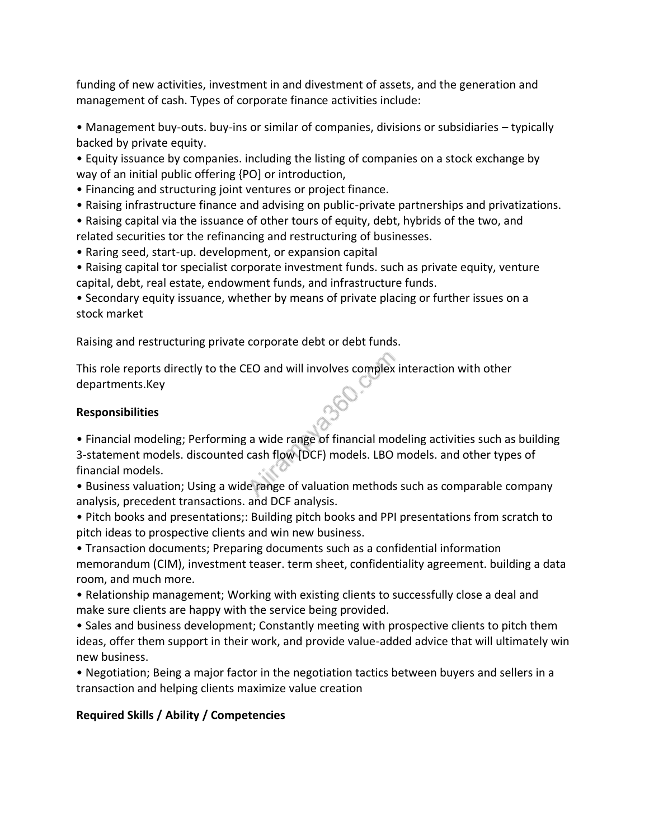funding of new activities, investment in and divestment of assets, and the generation and management of cash. Types of corporate finance activities include:

• Management buy-outs. buy-ins or similar of companies, divisions or subsidiaries – typically backed by private equity.

• Equity issuance by companies. including the listing of companies on a stock exchange by way of an initial public offering {PO] or introduction,

• Financing and structuring joint ventures or project finance.

• Raising infrastructure finance and advising on public-private partnerships and privatizations.

• Raising capital via the issuance of other tours of equity, debt, hybrids of the two, and related securities tor the refinancing and restructuring of businesses.

• Raring seed, start-up. development, or expansion capital

• Raising capital tor specialist corporate investment funds. such as private equity, venture capital, debt, real estate, endowment funds, and infrastructure funds.

• Secondary equity issuance, whether by means of private placing or further issues on a stock market

Raising and restructuring private corporate debt or debt funds.

This role reports directly to the CEO and will involves complex interaction with other departments.Key

## **Responsibilities**

• Financial modeling; Performing a wide range of financial modeling activities such as building 3-statement models. discounted cash flow [DCF) models. LBO models. and other types of financial models.

• Business valuation; Using a wide range of valuation methods such as comparable company analysis, precedent transactions. and DCF analysis.

• Pitch books and presentations;: Building pitch books and PPI presentations from scratch to pitch ideas to prospective clients and win new business.

• Transaction documents; Preparing documents such as a confidential information memorandum (CIM), investment teaser. term sheet, confidentiality agreement. building a data room, and much more.

• Relationship management; Working with existing clients to successfully close a deal and make sure clients are happy with the service being provided.

• Sales and business development; Constantly meeting with prospective clients to pitch them ideas, offer them support in their work, and provide value-added advice that will ultimately win new business.

• Negotiation; Being a major factor in the negotiation tactics between buyers and sellers in a transaction and helping clients maximize value creation

# **Required Skills / Ability / Competencies**